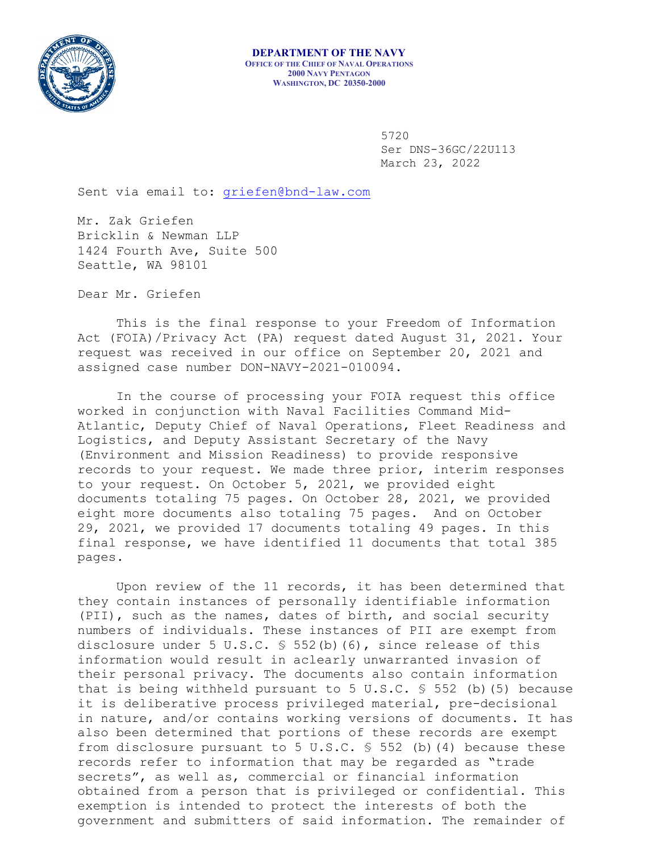

5720 Ser DNS-36GC/22U113 March 23, 2022

Sent via email to: [griefen@bnd-law.com](mailto:griefen@bnd-law.com)

Mr. Zak Griefen Bricklin & Newman LLP 1424 Fourth Ave, Suite 500 Seattle, WA 98101

Dear Mr. Griefen

This is the final response to your Freedom of Information Act (FOIA)/Privacy Act (PA) request dated August 31, 2021. Your request was received in our office on September 20, 2021 and assigned case number DON-NAVY-2021-010094.

In the course of processing your FOIA request this office worked in conjunction with Naval Facilities Command Mid-Atlantic, Deputy Chief of Naval Operations, Fleet Readiness and Logistics, and Deputy Assistant Secretary of the Navy (Environment and Mission Readiness) to provide responsive records to your request. We made three prior, interim responses to your request. On October 5, 2021, we provided eight documents totaling 75 pages. On October 28, 2021, we provided eight more documents also totaling 75 pages. And on October 29, 2021, we provided 17 documents totaling 49 pages. In this final response, we have identified 11 documents that total 385 pages.

Upon review of the 11 records, it has been determined that they contain instances of personally identifiable information (PII), such as the names, dates of birth, and social security numbers of individuals. These instances of PII are exempt from disclosure under 5 U.S.C. § 552(b)(6), since release of this information would result in aclearly unwarranted invasion of their personal privacy. The documents also contain information that is being withheld pursuant to 5 U.S.C.  $\frac{1}{5}$  552 (b)(5) because it is deliberative process privileged material, pre-decisional in nature, and/or contains working versions of documents. It has also been determined that portions of these records are exempt from disclosure pursuant to 5 U.S.C. § 552 (b)(4) because these records refer to information that may be regarded as "trade secrets", as well as, commercial or financial information obtained from a person that is privileged or confidential. This exemption is intended to protect the interests of both the government and submitters of said information. The remainder of